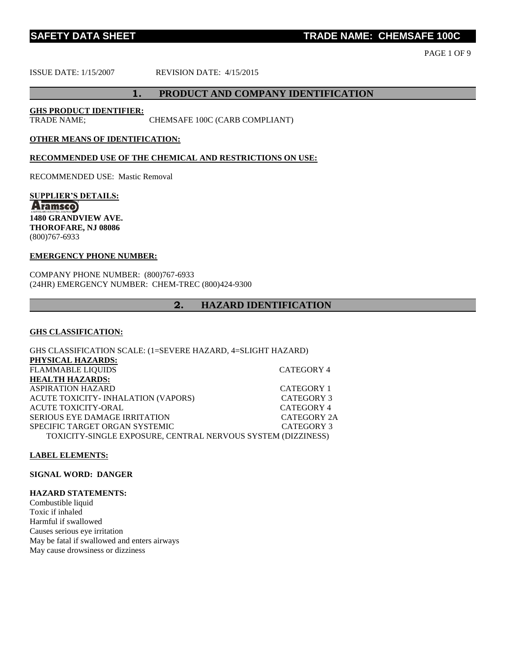**TRADE NAME: CHEMSAFE 100C** 

PAGE 1 OF 9

ISSUE DATE: 1/15/2007 REVISION DATE: 4/15/2015

#### **1. PRODUCT AND COMPANY IDENTIFICATION**

**GHS PRODUCT IDENTIFIER:**

TRADE NAME; CHEMSAFE 100C (CARB COMPLIANT)

#### **OTHER MEANS OF IDENTIFICATION:**

#### **RECOMMENDED USE OF THE CHEMICAL AND RESTRICTIONS ON USE:**

RECOMMENDED USE: Mastic Removal

**SUPPLIER'S DETAILS: Aramsco 1480 GRANDVIEW AVE. THOROFARE, NJ 08086** (800)767-6933

#### **EMERGENCY PHONE NUMBER:**

COMPANY PHONE NUMBER: (800)767-6933 (24HR) EMERGENCY NUMBER: CHEM-TREC (800)424-9300

#### **2. HAZARD IDENTIFICATION**

#### **GHS CLASSIFICATION:**

GHS CLASSIFICATION SCALE: (1=SEVERE HAZARD, 4=SLIGHT HAZARD) **PHYSICAL HAZARDS:** FLAMMABLE LIQUIDS CATEGORY 4 **HEALTH HAZARDS:** ASPIRATION HAZARD CATEGORY 1 ACUTE TOXICITY- INHALATION (VAPORS) CATEGORY 3 ACUTE TOXICITY-ORAL GATEGORY 4 SERIOUS EYE DAMAGE IRRITATION CATEGORY 2A SPECIFIC TARGET ORGAN SYSTEMIC **CATEGORY 3** TOXICITY-SINGLE EXPOSURE, CENTRAL NERVOUS SYSTEM (DIZZINESS)

#### **LABEL ELEMENTS:**

**SIGNAL WORD: DANGER**

#### **HAZARD STATEMENTS:**

Combustible liquid Toxic if inhaled Harmful if swallowed Causes serious eye irritation May be fatal if swallowed and enters airways May cause drowsiness or dizziness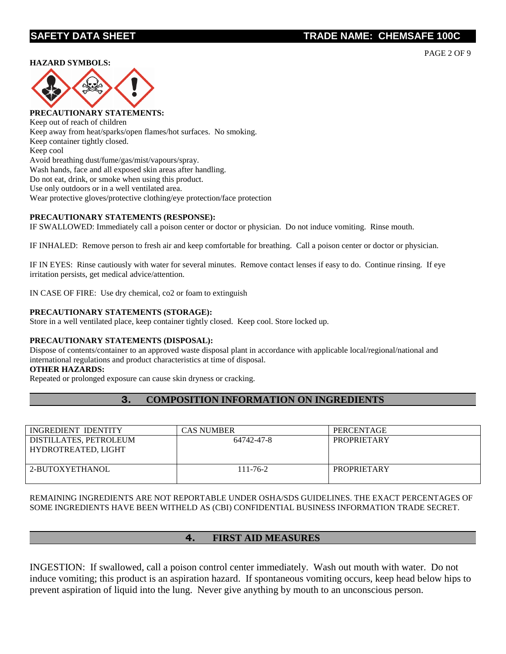#### **HAZARD SYMBOLS:**



**PRECAUTIONARY STATEMENTS:** Keep out of reach of children Keep away from heat/sparks/open flames/hot surfaces. No smoking. Keep container tightly closed. Keep cool Avoid breathing dust/fume/gas/mist/vapours/spray. Wash hands, face and all exposed skin areas after handling. Do not eat, drink, or smoke when using this product. Use only outdoors or in a well ventilated area. Wear protective gloves/protective clothing/eye protection/face protection

#### **PRECAUTIONARY STATEMENTS (RESPONSE):**

IF SWALLOWED: Immediately call a poison center or doctor or physician. Do not induce vomiting. Rinse mouth.

IF INHALED: Remove person to fresh air and keep comfortable for breathing. Call a poison center or doctor or physician.

IF IN EYES: Rinse cautiously with water for several minutes. Remove contact lenses if easy to do. Continue rinsing. If eye irritation persists, get medical advice/attention.

IN CASE OF FIRE: Use dry chemical, co2 or foam to extinguish

#### **PRECAUTIONARY STATEMENTS (STORAGE):**

Store in a well ventilated place, keep container tightly closed. Keep cool. Store locked up.

#### **PRECAUTIONARY STATEMENTS (DISPOSAL):**

Dispose of contents/container to an approved waste disposal plant in accordance with applicable local/regional/national and international regulations and product characteristics at time of disposal.

#### **OTHER HAZARDS:**

Repeated or prolonged exposure can cause skin dryness or cracking.

## **3. COMPOSITION INFORMATION ON INGREDIENTS**

| INGREDIENT IDENTITY                           | CAS NUMBER     | PERCENTAGE         |
|-----------------------------------------------|----------------|--------------------|
| DISTILLATES, PETROLEUM<br>HYDROTREATED, LIGHT | 64742-47-8     | <b>PROPRIETARY</b> |
| 2-BUTOXYETHANOL                               | $111 - 76 - 2$ | <b>PROPRIETARY</b> |

REMAINING INGREDIENTS ARE NOT REPORTABLE UNDER OSHA/SDS GUIDELINES. THE EXACT PERCENTAGES OF SOME INGREDIENTS HAVE BEEN WITHELD AS (CBI) CONFIDENTIAL BUSINESS INFORMATION TRADE SECRET.

#### **4. FIRST AID MEASURES**

INGESTION: If swallowed, call a poison control center immediately. Wash out mouth with water. Do not induce vomiting; this product is an aspiration hazard. If spontaneous vomiting occurs, keep head below hips to prevent aspiration of liquid into the lung. Never give anything by mouth to an unconscious person.

PAGE 2 OF 9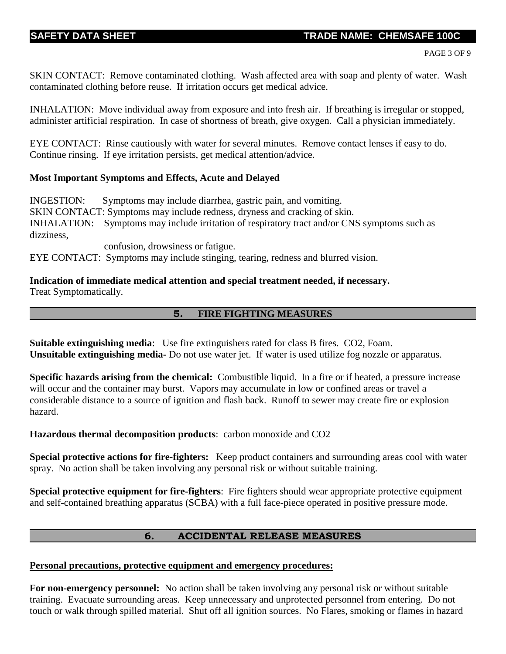SKIN CONTACT: Remove contaminated clothing. Wash affected area with soap and plenty of water. Wash contaminated clothing before reuse. If irritation occurs get medical advice.

INHALATION: Move individual away from exposure and into fresh air. If breathing is irregular or stopped, administer artificial respiration. In case of shortness of breath, give oxygen. Call a physician immediately.

EYE CONTACT: Rinse cautiously with water for several minutes. Remove contact lenses if easy to do. Continue rinsing. If eye irritation persists, get medical attention/advice.

## **Most Important Symptoms and Effects, Acute and Delayed**

INGESTION: Symptoms may include diarrhea, gastric pain, and vomiting. SKIN CONTACT: Symptoms may include redness, dryness and cracking of skin. INHALATION: Symptoms may include irritation of respiratory tract and/or CNS symptoms such as dizziness,

confusion, drowsiness or fatigue.

EYE CONTACT: Symptoms may include stinging, tearing, redness and blurred vision.

**Indication of immediate medical attention and special treatment needed, if necessary.** Treat Symptomatically.

## **5. FIRE FIGHTING MEASURES**

**Suitable extinguishing media**: Use fire extinguishers rated for class B fires. CO2, Foam. **Unsuitable extinguishing media-** Do not use water jet. If water is used utilize fog nozzle or apparatus.

**Specific hazards arising from the chemical:** Combustible liquid. In a fire or if heated, a pressure increase will occur and the container may burst. Vapors may accumulate in low or confined areas or travel a considerable distance to a source of ignition and flash back. Runoff to sewer may create fire or explosion hazard.

**Hazardous thermal decomposition products**: carbon monoxide and CO2

**Special protective actions for fire-fighters:** Keep product containers and surrounding areas cool with water spray. No action shall be taken involving any personal risk or without suitable training.

**Special protective equipment for fire-fighters**: Fire fighters should wear appropriate protective equipment and self-contained breathing apparatus (SCBA) with a full face-piece operated in positive pressure mode.

# **6. ACCIDENTAL RELEASE MEASURES**

## **Personal precautions, protective equipment and emergency procedures:**

**For non-emergency personnel:** No action shall be taken involving any personal risk or without suitable training. Evacuate surrounding areas. Keep unnecessary and unprotected personnel from entering. Do not touch or walk through spilled material. Shut off all ignition sources. No Flares, smoking or flames in hazard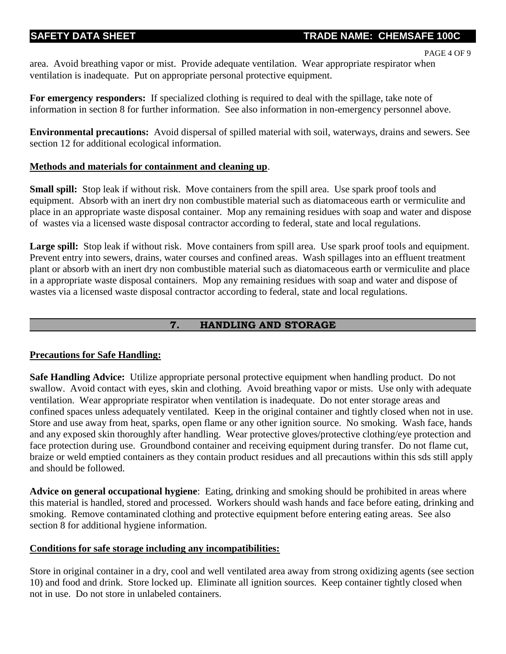```
PAGE 4 OF 9
```
area. Avoid breathing vapor or mist. Provide adequate ventilation. Wear appropriate respirator when ventilation is inadequate. Put on appropriate personal protective equipment.

**For emergency responders:** If specialized clothing is required to deal with the spillage, take note of information in section 8 for further information. See also information in non-emergency personnel above.

**Environmental precautions:** Avoid dispersal of spilled material with soil, waterways, drains and sewers. See section 12 for additional ecological information.

# **Methods and materials for containment and cleaning up**.

**Small spill:** Stop leak if without risk. Move containers from the spill area. Use spark proof tools and equipment. Absorb with an inert dry non combustible material such as diatomaceous earth or vermiculite and place in an appropriate waste disposal container. Mop any remaining residues with soap and water and dispose of wastes via a licensed waste disposal contractor according to federal, state and local regulations.

Large spill: Stop leak if without risk. Move containers from spill area. Use spark proof tools and equipment. Prevent entry into sewers, drains, water courses and confined areas. Wash spillages into an effluent treatment plant or absorb with an inert dry non combustible material such as diatomaceous earth or vermiculite and place in a appropriate waste disposal containers. Mop any remaining residues with soap and water and dispose of wastes via a licensed waste disposal contractor according to federal, state and local regulations.

# **7. HANDLING AND STORAGE**

# **Precautions for Safe Handling:**

**Safe Handling Advice:** Utilize appropriate personal protective equipment when handling product. Do not swallow. Avoid contact with eyes, skin and clothing. Avoid breathing vapor or mists. Use only with adequate ventilation. Wear appropriate respirator when ventilation is inadequate. Do not enter storage areas and confined spaces unless adequately ventilated. Keep in the original container and tightly closed when not in use. Store and use away from heat, sparks, open flame or any other ignition source. No smoking. Wash face, hands and any exposed skin thoroughly after handling. Wear protective gloves/protective clothing/eye protection and face protection during use. Groundbond container and receiving equipment during transfer. Do not flame cut, braize or weld emptied containers as they contain product residues and all precautions within this sds still apply and should be followed.

**Advice on general occupational hygiene**: Eating, drinking and smoking should be prohibited in areas where this material is handled, stored and processed. Workers should wash hands and face before eating, drinking and smoking. Remove contaminated clothing and protective equipment before entering eating areas. See also section 8 for additional hygiene information.

# **Conditions for safe storage including any incompatibilities:**

Store in original container in a dry, cool and well ventilated area away from strong oxidizing agents (see section 10) and food and drink. Store locked up. Eliminate all ignition sources. Keep container tightly closed when not in use. Do not store in unlabeled containers.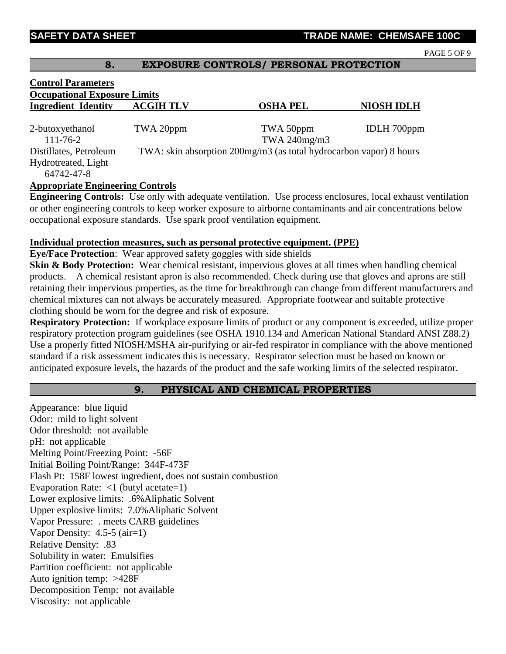PAGE 5 OF 9

### **8. EXPOSURE CONTROLS/ PERSONAL PROTECTION**

| <b>Control Parameters</b>               |                                                                    |                 |                    |  |  |  |
|-----------------------------------------|--------------------------------------------------------------------|-----------------|--------------------|--|--|--|
| <b>Occupational Exposure Limits</b>     |                                                                    |                 |                    |  |  |  |
| <b>Ingredient Identity</b>              | <b>ACGIH TLV</b>                                                   | <b>OSHA PEL</b> | <b>NIOSH IDLH</b>  |  |  |  |
|                                         |                                                                    |                 |                    |  |  |  |
| 2-butoxyethanol                         | TWA 20ppm                                                          | TWA 50ppm       | <b>IDLH</b> 700ppm |  |  |  |
| $111 - 76 - 2$                          |                                                                    | TWA 240mg/m3    |                    |  |  |  |
| Distillates, Petroleum                  | TWA: skin absorption 200mg/m3 (as total hydrocarbon vapor) 8 hours |                 |                    |  |  |  |
| Hydrotreated, Light                     |                                                                    |                 |                    |  |  |  |
| 64742-47-8                              |                                                                    |                 |                    |  |  |  |
| <b>Appropriate Engineering Controls</b> |                                                                    |                 |                    |  |  |  |
|                                         |                                                                    |                 |                    |  |  |  |

**Engineering Controls:** Use only with adequate ventilation. Use process enclosures, local exhaust ventilation or other engineering controls to keep worker exposure to airborne contaminants and air concentrations below occupational exposure standards. Use spark proof ventilation equipment.

#### **Individual protection measures, such as personal protective equipment. (PPE)**

**Eye/Face Protection**: Wear approved safety goggles with side shields

**Skin & Body Protection:** Wear chemical resistant, impervious gloves at all times when handling chemical products. A chemical resistant apron is also recommended. Check during use that gloves and aprons are still retaining their impervious properties, as the time for breakthrough can change from different manufacturers and chemical mixtures can not always be accurately measured. Appropriate footwear and suitable protective clothing should be worn for the degree and risk of exposure.

**Respiratory Protection:** If workplace exposure limits of product or any component is exceeded, utilize proper respiratory protection program guidelines (see OSHA 1910.134 and American National Standard ANSI Z88.2) Use a properly fitted NIOSH/MSHA air-purifying or air-fed respirator in compliance with the above mentioned standard if a risk assessment indicates this is necessary. Respirator selection must be based on known or anticipated exposure levels, the hazards of the product and the safe working limits of the selected respirator.

# **9. PHYSICAL AND CHEMICAL PROPERTIES**

Appearance: blue liquid Odor: mild to light solvent Odor threshold: not available pH: not applicable Melting Point/Freezing Point: -56F Initial Boiling Point/Range: 344F-473F Flash Pt: 158F lowest ingredient, does not sustain combustion Evaporation Rate: <1 (butyl acetate=1) Lower explosive limits: .6%Aliphatic Solvent Upper explosive limits: 7.0%Aliphatic Solvent Vapor Pressure: . meets CARB guidelines Vapor Density: 4.5-5 (air=1) Relative Density: .83 Solubility in water: Emulsifies Partition coefficient: not applicable Auto ignition temp: >428F Decomposition Temp: not available Viscosity: not applicable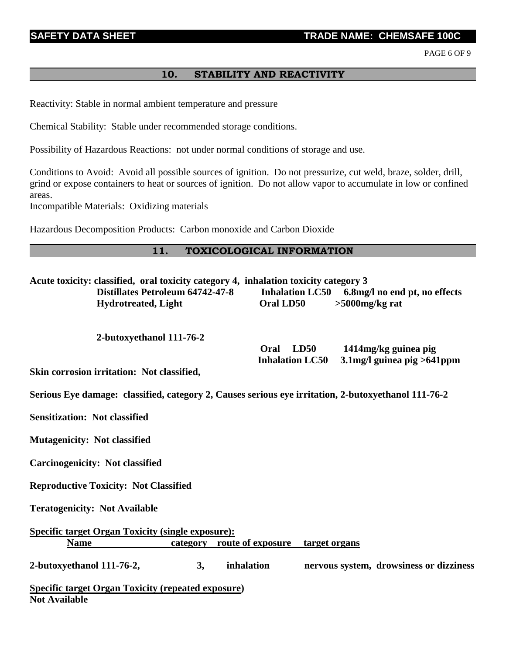## **TRADE NAME: CHEMSAFE 100C**

PAGE 6 OF 9

# **10. STABILITY AND REACTIVITY**

Reactivity: Stable in normal ambient temperature and pressure

Chemical Stability: Stable under recommended storage conditions.

Possibility of Hazardous Reactions: not under normal conditions of storage and use.

Conditions to Avoid: Avoid all possible sources of ignition. Do not pressurize, cut weld, braze, solder, drill, grind or expose containers to heat or sources of ignition. Do not allow vapor to accumulate in low or confined areas.

Incompatible Materials: Oxidizing materials

Hazardous Decomposition Products: Carbon monoxide and Carbon Dioxide

### **11. TOXICOLOGICAL INFORMATION**

| Acute toxicity: classified, oral toxicity category 4, inhalation toxicity category 3<br><b>Distillates Petroleum 64742-47-8</b><br><b>Hydrotreated, Light</b> | Oral LD50                              | Inhalation LC50 6.8mg/l no end pt, no effects<br>$>5000$ mg/kg rat |
|---------------------------------------------------------------------------------------------------------------------------------------------------------------|----------------------------------------|--------------------------------------------------------------------|
| 2-butoxyethanol 111-76-2                                                                                                                                      | Oral<br>LD50<br><b>Inhalation LC50</b> | 1414mg/kg guinea pig                                               |
| Skin corrosion irritation: Not classified,                                                                                                                    |                                        | $3.1$ mg/l guinea pig > 641 ppm                                    |
| Serious Eye damage: classified, category 2, Causes serious eye irritation, 2-butoxyethanol 111-76-2                                                           |                                        |                                                                    |
| <b>Sensitization: Not classified</b>                                                                                                                          |                                        |                                                                    |
| <b>Mutagenicity: Not classified</b>                                                                                                                           |                                        |                                                                    |
| <b>Carcinogenicity: Not classified</b>                                                                                                                        |                                        |                                                                    |
| <b>Reproductive Toxicity: Not Classified</b>                                                                                                                  |                                        |                                                                    |
| <b>Teratogenicity: Not Available</b>                                                                                                                          |                                        |                                                                    |
| <b>Specific target Organ Toxicity (single exposure):</b><br>category route of exposure<br><b>Name</b>                                                         | target organs                          |                                                                    |
| 2-butoxyethanol 111-76-2,<br>3,                                                                                                                               | inhalation                             | nervous system, drowsiness or dizziness                            |
| <b>Specific target Organ Toxicity (repeated exposure)</b><br><b>Not Available</b>                                                                             |                                        |                                                                    |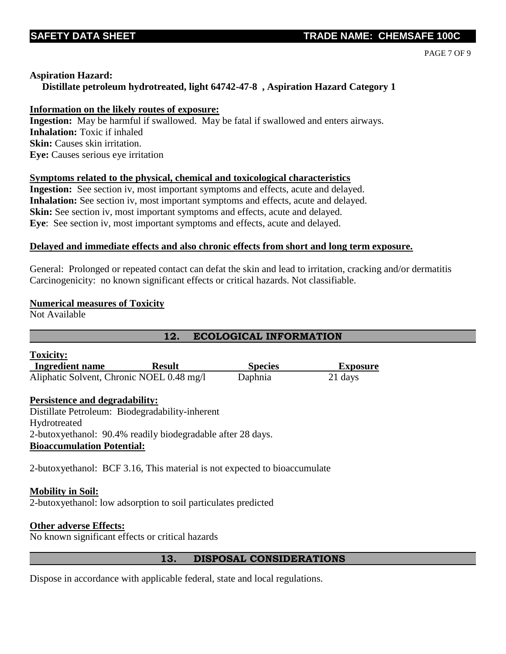PAGE 7 OF 9

### **Aspiration Hazard:**

## **Distillate petroleum hydrotreated, light 64742-47-8 , Aspiration Hazard Category 1**

### **Information on the likely routes of exposure:**

**Ingestion:** May be harmful if swallowed. May be fatal if swallowed and enters airways. **Inhalation:** Toxic if inhaled **Skin:** Causes skin irritation. **Eye:** Causes serious eye irritation

## **Symptoms related to the physical, chemical and toxicological characteristics**

**Ingestion:** See section iv, most important symptoms and effects, acute and delayed. **Inhalation:** See section iv, most important symptoms and effects, acute and delayed. **Skin:** See section iv, most important symptoms and effects, acute and delayed. **Eye**: See section iv, most important symptoms and effects, acute and delayed.

#### **Delayed and immediate effects and also chronic effects from short and long term exposure.**

General: Prolonged or repeated contact can defat the skin and lead to irritation, cracking and/or dermatitis Carcinogenicity: no known significant effects or critical hazards. Not classifiable.

#### **Numerical measures of Toxicity**

Not Available

# **12. ECOLOGICAL INFORMATION**

| <b>Toxicity:</b>                                                          |               |                |                 |  |  |
|---------------------------------------------------------------------------|---------------|----------------|-----------------|--|--|
| <b>Ingredient name</b>                                                    | <b>Result</b> | <b>Species</b> | <b>Exposure</b> |  |  |
| Aliphatic Solvent, Chronic NOEL 0.48 mg/l                                 |               | Daphnia        | 21 days         |  |  |
| <b>Persistence and degradability:</b>                                     |               |                |                 |  |  |
| Distillate Petroleum: Biodegradability-inherent                           |               |                |                 |  |  |
| Hydrotreated                                                              |               |                |                 |  |  |
| 2-butoxyethanol: 90.4% readily biodegradable after 28 days.               |               |                |                 |  |  |
| <b>Bioaccumulation Potential:</b>                                         |               |                |                 |  |  |
| 2-butoxyethanol: BCF 3.16, This material is not expected to bioaccumulate |               |                |                 |  |  |
| <b>Mobility in Soil:</b>                                                  |               |                |                 |  |  |
| 2-butoxyethanol: low adsorption to soil particulates predicted            |               |                |                 |  |  |

#### **Other adverse Effects:**

No known significant effects or critical hazards

## **13. DISPOSAL CONSIDERATIONS**

Dispose in accordance with applicable federal, state and local regulations.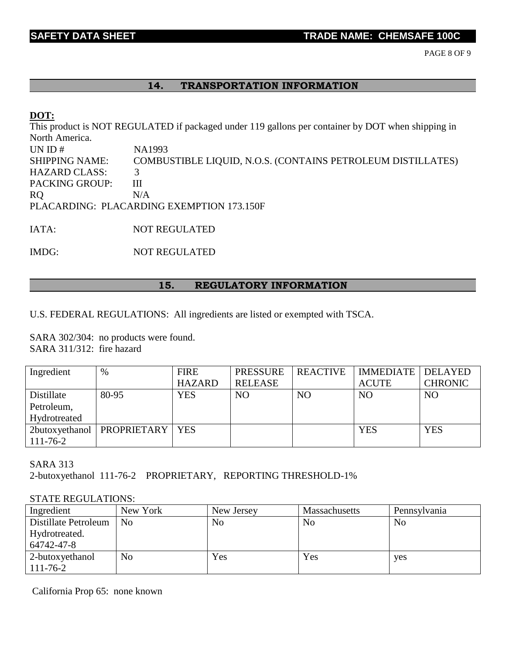PAGE 8 OF 9

### **14. TRANSPORTATION INFORMATION**

### **DOT:**

This product is NOT REGULATED if packaged under 119 gallons per container by DOT when shipping in North America. UN ID # NA1993 SHIPPING NAME: COMBUSTIBLE LIQUID, N.O.S. (CONTAINS PETROLEUM DISTILLATES) HAZARD CLASS: 3 PACKING GROUP: III RQ N/A PLACARDING: PLACARDING EXEMPTION 173.150F

IATA: NOT REGULATED

IMDG: NOT REGULATED

#### **15. REGULATORY INFORMATION**

U.S. FEDERAL REGULATIONS: All ingredients are listed or exempted with TSCA.

SARA 302/304: no products were found. SARA 311/312: fire hazard

| Ingredient     | %                                  | <b>FIRE</b>   | <b>PRESSURE</b> | <b>REACTIVE</b> | <b>IMMEDIATE   DELAYED</b> |                |
|----------------|------------------------------------|---------------|-----------------|-----------------|----------------------------|----------------|
|                |                                    | <b>HAZARD</b> | <b>RELEASE</b>  |                 | <b>ACUTE</b>               | <b>CHRONIC</b> |
| Distillate     | 80-95                              | <b>YES</b>    | NO              | N <sub>O</sub>  | <b>NO</b>                  | N <sub>O</sub> |
| Petroleum,     |                                    |               |                 |                 |                            |                |
| Hydrotreated   |                                    |               |                 |                 |                            |                |
|                | 2butoxyethanol   PROPRIETARY   YES |               |                 |                 | <b>YES</b>                 | <b>YES</b>     |
| $111 - 76 - 2$ |                                    |               |                 |                 |                            |                |

## SARA 313

2-butoxyethanol 111-76-2 PROPRIETARY, REPORTING THRESHOLD-1%

#### STATE REGULATIONS:

| Ingredient           | New York       | New Jersey | <b>Massachusetts</b> | Pennsylvania |
|----------------------|----------------|------------|----------------------|--------------|
| Distillate Petroleum | N <sub>0</sub> | No         | No                   | No           |
| Hydrotreated.        |                |            |                      |              |
| 64742-47-8           |                |            |                      |              |
| 2-butoxyethanol      | No             | Yes        | Yes                  | yes          |
| $111 - 76 - 2$       |                |            |                      |              |

California Prop 65: none known